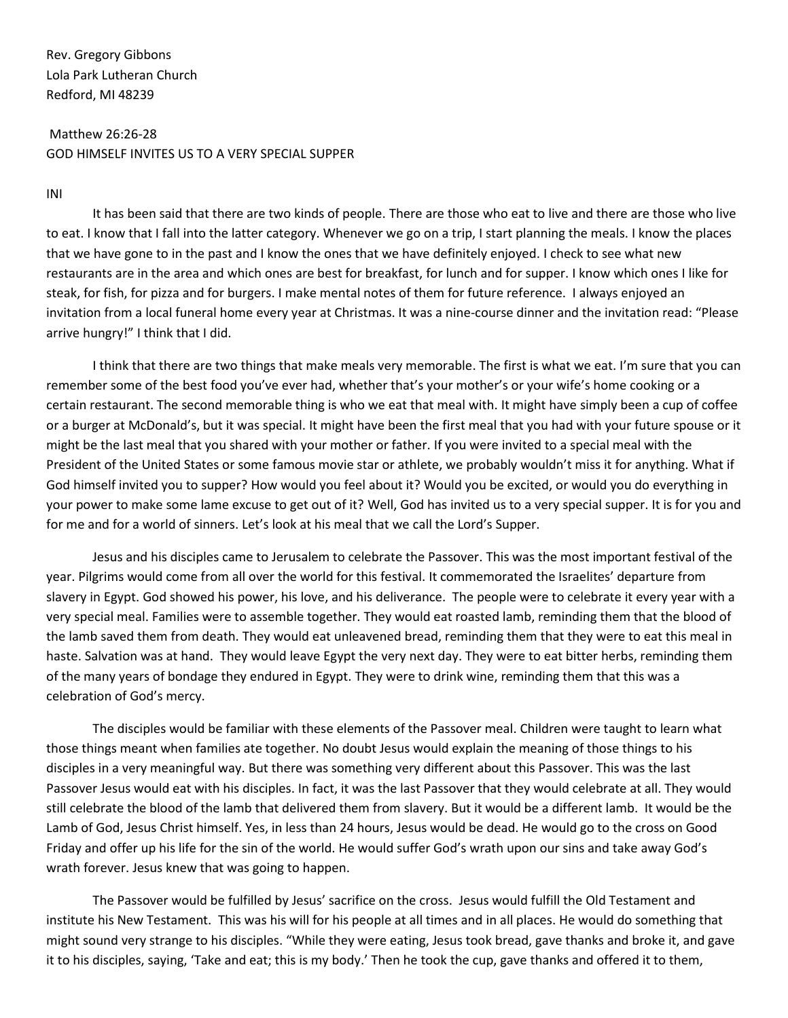Rev. Gregory Gibbons Lola Park Lutheran Church Redford, MI 48239

## Matthew 26:26-28 GOD HIMSELF INVITES US TO A VERY SPECIAL SUPPER

## INI

It has been said that there are two kinds of people. There are those who eat to live and there are those who live to eat. I know that I fall into the latter category. Whenever we go on a trip, I start planning the meals. I know the places that we have gone to in the past and I know the ones that we have definitely enjoyed. I check to see what new restaurants are in the area and which ones are best for breakfast, for lunch and for supper. I know which ones I like for steak, for fish, for pizza and for burgers. I make mental notes of them for future reference. I always enjoyed an invitation from a local funeral home every year at Christmas. It was a nine-course dinner and the invitation read: "Please arrive hungry!" I think that I did.

I think that there are two things that make meals very memorable. The first is what we eat. I'm sure that you can remember some of the best food you've ever had, whether that's your mother's or your wife's home cooking or a certain restaurant. The second memorable thing is who we eat that meal with. It might have simply been a cup of coffee or a burger at McDonald's, but it was special. It might have been the first meal that you had with your future spouse or it might be the last meal that you shared with your mother or father. If you were invited to a special meal with the President of the United States or some famous movie star or athlete, we probably wouldn't miss it for anything. What if God himself invited you to supper? How would you feel about it? Would you be excited, or would you do everything in your power to make some lame excuse to get out of it? Well, God has invited us to a very special supper. It is for you and for me and for a world of sinners. Let's look at his meal that we call the Lord's Supper.

Jesus and his disciples came to Jerusalem to celebrate the Passover. This was the most important festival of the year. Pilgrims would come from all over the world for this festival. It commemorated the Israelites' departure from slavery in Egypt. God showed his power, his love, and his deliverance. The people were to celebrate it every year with a very special meal. Families were to assemble together. They would eat roasted lamb, reminding them that the blood of the lamb saved them from death. They would eat unleavened bread, reminding them that they were to eat this meal in haste. Salvation was at hand. They would leave Egypt the very next day. They were to eat bitter herbs, reminding them of the many years of bondage they endured in Egypt. They were to drink wine, reminding them that this was a celebration of God's mercy.

The disciples would be familiar with these elements of the Passover meal. Children were taught to learn what those things meant when families ate together. No doubt Jesus would explain the meaning of those things to his disciples in a very meaningful way. But there was something very different about this Passover. This was the last Passover Jesus would eat with his disciples. In fact, it was the last Passover that they would celebrate at all. They would still celebrate the blood of the lamb that delivered them from slavery. But it would be a different lamb. It would be the Lamb of God, Jesus Christ himself. Yes, in less than 24 hours, Jesus would be dead. He would go to the cross on Good Friday and offer up his life for the sin of the world. He would suffer God's wrath upon our sins and take away God's wrath forever. Jesus knew that was going to happen.

The Passover would be fulfilled by Jesus' sacrifice on the cross. Jesus would fulfill the Old Testament and institute his New Testament. This was his will for his people at all times and in all places. He would do something that might sound very strange to his disciples. "While they were eating, Jesus took bread, gave thanks and broke it, and gave it to his disciples, saying, 'Take and eat; this is my body.' Then he took the cup, gave thanks and offered it to them,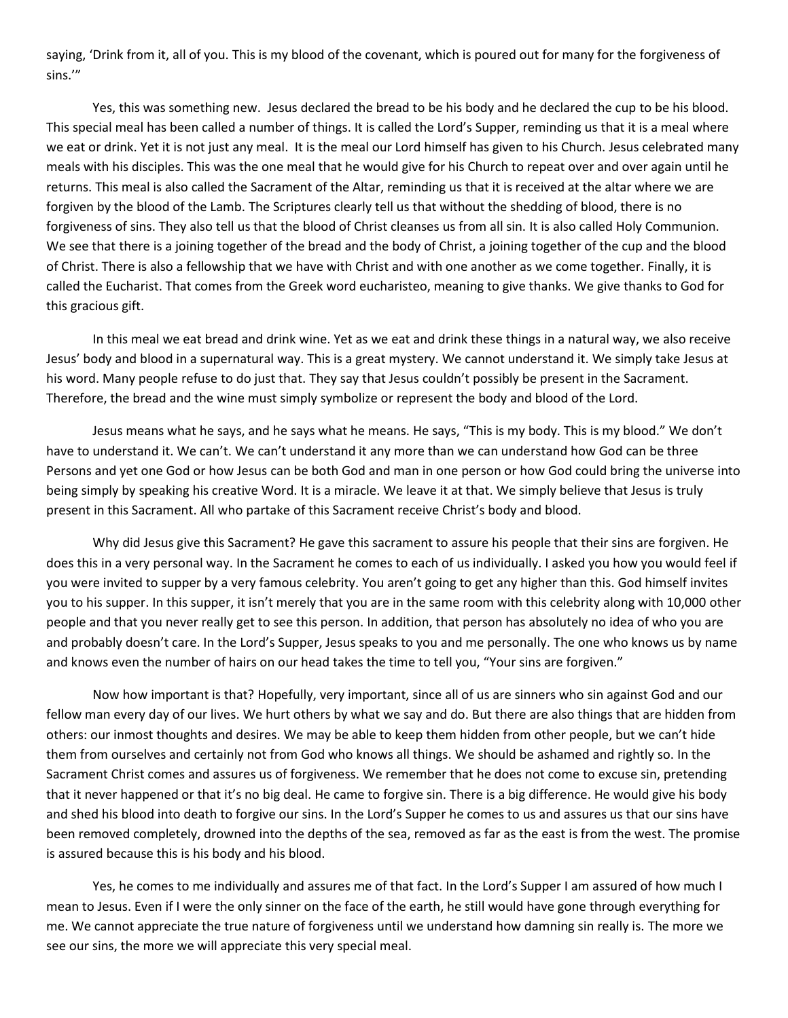saying, 'Drink from it, all of you. This is my blood of the covenant, which is poured out for many for the forgiveness of sins.'"

Yes, this was something new. Jesus declared the bread to be his body and he declared the cup to be his blood. This special meal has been called a number of things. It is called the Lord's Supper, reminding us that it is a meal where we eat or drink. Yet it is not just any meal. It is the meal our Lord himself has given to his Church. Jesus celebrated many meals with his disciples. This was the one meal that he would give for his Church to repeat over and over again until he returns. This meal is also called the Sacrament of the Altar, reminding us that it is received at the altar where we are forgiven by the blood of the Lamb. The Scriptures clearly tell us that without the shedding of blood, there is no forgiveness of sins. They also tell us that the blood of Christ cleanses us from all sin. It is also called Holy Communion. We see that there is a joining together of the bread and the body of Christ, a joining together of the cup and the blood of Christ. There is also a fellowship that we have with Christ and with one another as we come together. Finally, it is called the Eucharist. That comes from the Greek word eucharisteo, meaning to give thanks. We give thanks to God for this gracious gift.

In this meal we eat bread and drink wine. Yet as we eat and drink these things in a natural way, we also receive Jesus' body and blood in a supernatural way. This is a great mystery. We cannot understand it. We simply take Jesus at his word. Many people refuse to do just that. They say that Jesus couldn't possibly be present in the Sacrament. Therefore, the bread and the wine must simply symbolize or represent the body and blood of the Lord.

Jesus means what he says, and he says what he means. He says, "This is my body. This is my blood." We don't have to understand it. We can't. We can't understand it any more than we can understand how God can be three Persons and yet one God or how Jesus can be both God and man in one person or how God could bring the universe into being simply by speaking his creative Word. It is a miracle. We leave it at that. We simply believe that Jesus is truly present in this Sacrament. All who partake of this Sacrament receive Christ's body and blood.

Why did Jesus give this Sacrament? He gave this sacrament to assure his people that their sins are forgiven. He does this in a very personal way. In the Sacrament he comes to each of us individually. I asked you how you would feel if you were invited to supper by a very famous celebrity. You aren't going to get any higher than this. God himself invites you to his supper. In this supper, it isn't merely that you are in the same room with this celebrity along with 10,000 other people and that you never really get to see this person. In addition, that person has absolutely no idea of who you are and probably doesn't care. In the Lord's Supper, Jesus speaks to you and me personally. The one who knows us by name and knows even the number of hairs on our head takes the time to tell you, "Your sins are forgiven."

Now how important is that? Hopefully, very important, since all of us are sinners who sin against God and our fellow man every day of our lives. We hurt others by what we say and do. But there are also things that are hidden from others: our inmost thoughts and desires. We may be able to keep them hidden from other people, but we can't hide them from ourselves and certainly not from God who knows all things. We should be ashamed and rightly so. In the Sacrament Christ comes and assures us of forgiveness. We remember that he does not come to excuse sin, pretending that it never happened or that it's no big deal. He came to forgive sin. There is a big difference. He would give his body and shed his blood into death to forgive our sins. In the Lord's Supper he comes to us and assures us that our sins have been removed completely, drowned into the depths of the sea, removed as far as the east is from the west. The promise is assured because this is his body and his blood.

Yes, he comes to me individually and assures me of that fact. In the Lord's Supper I am assured of how much I mean to Jesus. Even if I were the only sinner on the face of the earth, he still would have gone through everything for me. We cannot appreciate the true nature of forgiveness until we understand how damning sin really is. The more we see our sins, the more we will appreciate this very special meal.